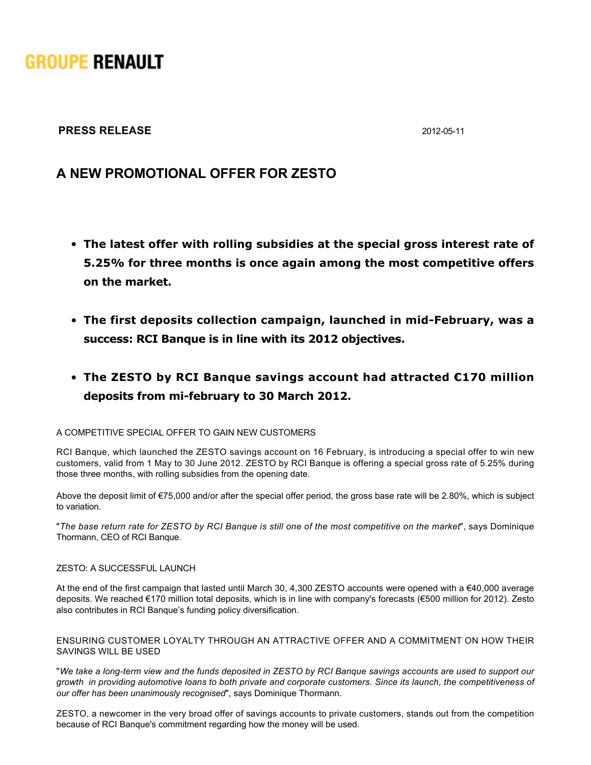# **GROUPE RENAULT**

### **PRESS RELEASE** 2012-05-11

## **A NEW PROMOTIONAL OFFER FOR ZESTO**

- **The latest offer with rolling subsidies at the special gross interest rate of 5.25% for three months is once again among the most competitive offers on the market.**
- **The first deposits collection campaign, launched in mid-February, was a success: RCI Banque is in line with its 2012 objectives.**
- **The ZESTO by RCI Banque savings account had attracted €170 million deposits from mifebruary to 30 March 2012.**

#### A COMPETITIVE SPECIAL OFFER TO GAIN NEW CUSTOMERS

RCI Banque, which launched the ZESTO savings account on 16 February, is introducing a special offer to win new customers, valid from 1 May to 30 June 2012. ZESTO by RCI Banque is offering a special gross rate of 5.25% during those three months, with rolling subsidies from the opening date.

Above the deposit limit of €75,000 and/or after the special offer period, the gross base rate will be 2.80%, which is subject to variation.

"*The base return rate for ZESTO by RCI Banque is still one of the most competitive on the market*", says Dominique Thormann, CEO of RCI Banque.

#### ZESTO: A SUCCESSFUL LAUNCH

At the end of the first campaign that lasted until March 30, 4,300 ZESTO accounts were opened with a €40,000 average deposits. We reached €170 million total deposits, which is in line with company's forecasts (€500 million for 2012). Zesto also contributes in RCI Banque's funding policy diversification.

#### ENSURING CUSTOMER LOYALTY THROUGH AN ATTRACTIVE OFFER AND A COMMITMENT ON HOW THEIR SAVINGS WILL BE USED

"We take a long-term view and the funds deposited in ZESTO by RCI Banque savings accounts are used to support our *growth in providing automotive loans to both private and corporate customers. Since its launch, the competitiveness of our offer has been unanimously recognised*", says Dominique Thormann.

ZESTO, a newcomer in the very broad offer of savings accounts to private customers, stands out from the competition because of RCI Banque's commitment regarding how the money will be used.